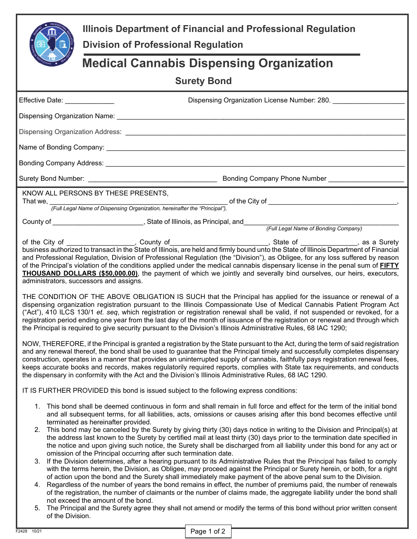| Illinois Department of Financial and Professional Regulation<br><b>Division of Professional Regulation</b> |                                                                                                                                                                                                                                                                                                                                                                                                                                                                                                                                                                                                                                                                                                                                                                                                                                                                                                                                                                                                                                                                                                                                                                                                                                                                                                                                                                                                                                                                                                                                                             |  |  |  |  |
|------------------------------------------------------------------------------------------------------------|-------------------------------------------------------------------------------------------------------------------------------------------------------------------------------------------------------------------------------------------------------------------------------------------------------------------------------------------------------------------------------------------------------------------------------------------------------------------------------------------------------------------------------------------------------------------------------------------------------------------------------------------------------------------------------------------------------------------------------------------------------------------------------------------------------------------------------------------------------------------------------------------------------------------------------------------------------------------------------------------------------------------------------------------------------------------------------------------------------------------------------------------------------------------------------------------------------------------------------------------------------------------------------------------------------------------------------------------------------------------------------------------------------------------------------------------------------------------------------------------------------------------------------------------------------------|--|--|--|--|
| <b>Medical Cannabis Dispensing Organization</b>                                                            |                                                                                                                                                                                                                                                                                                                                                                                                                                                                                                                                                                                                                                                                                                                                                                                                                                                                                                                                                                                                                                                                                                                                                                                                                                                                                                                                                                                                                                                                                                                                                             |  |  |  |  |
| <b>Surety Bond</b>                                                                                         |                                                                                                                                                                                                                                                                                                                                                                                                                                                                                                                                                                                                                                                                                                                                                                                                                                                                                                                                                                                                                                                                                                                                                                                                                                                                                                                                                                                                                                                                                                                                                             |  |  |  |  |
| Effective Date: ______________                                                                             | Dispensing Organization License Number: 280.                                                                                                                                                                                                                                                                                                                                                                                                                                                                                                                                                                                                                                                                                                                                                                                                                                                                                                                                                                                                                                                                                                                                                                                                                                                                                                                                                                                                                                                                                                                |  |  |  |  |
|                                                                                                            |                                                                                                                                                                                                                                                                                                                                                                                                                                                                                                                                                                                                                                                                                                                                                                                                                                                                                                                                                                                                                                                                                                                                                                                                                                                                                                                                                                                                                                                                                                                                                             |  |  |  |  |
|                                                                                                            |                                                                                                                                                                                                                                                                                                                                                                                                                                                                                                                                                                                                                                                                                                                                                                                                                                                                                                                                                                                                                                                                                                                                                                                                                                                                                                                                                                                                                                                                                                                                                             |  |  |  |  |
|                                                                                                            |                                                                                                                                                                                                                                                                                                                                                                                                                                                                                                                                                                                                                                                                                                                                                                                                                                                                                                                                                                                                                                                                                                                                                                                                                                                                                                                                                                                                                                                                                                                                                             |  |  |  |  |
|                                                                                                            |                                                                                                                                                                                                                                                                                                                                                                                                                                                                                                                                                                                                                                                                                                                                                                                                                                                                                                                                                                                                                                                                                                                                                                                                                                                                                                                                                                                                                                                                                                                                                             |  |  |  |  |
|                                                                                                            |                                                                                                                                                                                                                                                                                                                                                                                                                                                                                                                                                                                                                                                                                                                                                                                                                                                                                                                                                                                                                                                                                                                                                                                                                                                                                                                                                                                                                                                                                                                                                             |  |  |  |  |
|                                                                                                            | KNOW ALL PERSONS BY THESE PRESENTS,<br>That we, That we, That we, That we, That we, That Legal Name of Dispensing Organization, hereinafter the "Principal"),                                                                                                                                                                                                                                                                                                                                                                                                                                                                                                                                                                                                                                                                                                                                                                                                                                                                                                                                                                                                                                                                                                                                                                                                                                                                                                                                                                                               |  |  |  |  |
|                                                                                                            |                                                                                                                                                                                                                                                                                                                                                                                                                                                                                                                                                                                                                                                                                                                                                                                                                                                                                                                                                                                                                                                                                                                                                                                                                                                                                                                                                                                                                                                                                                                                                             |  |  |  |  |
| administrators, successors and assigns.                                                                    | of the City of __________________, County of _________________________, State of __________, as a Surety business authorized to transact in the State of Illinois, are held and firmly bound unto the State of Illinois Depart<br>and Professional Regulation, Division of Professional Regulation (the "Division"), as Obligee, for any loss suffered by reason<br>of the Principal's violation of the conditions applied under the medical cannabis dispensary license in the penal sum of <b>FIFTY</b><br><b>THOUSAND DOLLARS (\$50,000.00)</b> , the payment of which we jointly and severally bind ourselves, our heirs, executors,<br>THE CONDITION OF THE ABOVE OBLIGATION IS SUCH that the Principal has applied for the issuance or renewal of a<br>dispensing organization registration pursuant to the Illinois Compassionate Use of Medical Cannabis Patient Program Act<br>("Act"), 410 ILCS 130/1 et. seq, which registration or registration renewal shall be valid, if not suspended or revoked, for a<br>registration period ending one year from the last day of the month of issuance of the registration or renewal and through which<br>the Principal is required to give security pursuant to the Division's Illinois Administrative Rules, 68 IAC 1290;                                                                                                                                                                                                                                                                              |  |  |  |  |
|                                                                                                            | NOW, THEREFORE, if the Principal is granted a registration by the State pursuant to the Act, during the term of said registration<br>and any renewal thereof, the bond shall be used to guarantee that the Principal timely and successfully completes dispensary<br>construction, operates in a manner that provides an uninterrupted supply of cannabis, faithfully pays registration renewal fees,<br>keeps accurate books and records, makes regulatorily required reports, complies with State tax requirements, and conducts<br>the dispensary in conformity with the Act and the Division's Illinois Administrative Rules, 68 IAC 1290.<br>IT IS FURTHER PROVIDED this bond is issued subject to the following express conditions:                                                                                                                                                                                                                                                                                                                                                                                                                                                                                                                                                                                                                                                                                                                                                                                                                   |  |  |  |  |
| 5.<br>of the Division.                                                                                     | 1. This bond shall be deemed continuous in form and shall remain in full force and effect for the term of the initial bond<br>and all subsequent terms, for all liabilities, acts, omissions or causes arising after this bond becomes effective until<br>terminated as hereinafter provided.<br>2. This bond may be canceled by the Surety by giving thirty (30) days notice in writing to the Division and Principal(s) at<br>the address last known to the Surety by certified mail at least thirty (30) days prior to the termination date specified in<br>the notice and upon giving such notice, the Surety shall be discharged from all liability under this bond for any act or<br>omission of the Principal occurring after such termination date.<br>3. If the Division determines, after a hearing pursuant to its Administrative Rules that the Principal has failed to comply<br>with the terms herein, the Division, as Obligee, may proceed against the Principal or Surety herein, or both, for a right<br>of action upon the bond and the Surety shall immediately make payment of the above penal sum to the Division.<br>4. Regardless of the number of years the bond remains in effect, the number of premiums paid, the number of renewals<br>of the registration, the number of claimants or the number of claims made, the aggregate liability under the bond shall<br>not exceed the amount of the bond.<br>The Principal and the Surety agree they shall not amend or modify the terms of this bond without prior written consent |  |  |  |  |
| F2428 10/21                                                                                                | Page 1 of 2                                                                                                                                                                                                                                                                                                                                                                                                                                                                                                                                                                                                                                                                                                                                                                                                                                                                                                                                                                                                                                                                                                                                                                                                                                                                                                                                                                                                                                                                                                                                                 |  |  |  |  |